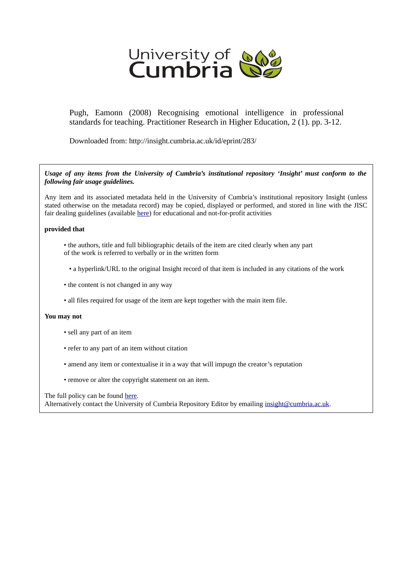

Pugh, Eamonn (2008) Recognising emotional intelligence in professional standards for teaching. Practitioner Research in Higher Education, 2 (1). pp. 3-12.

Downloaded from: http://insight.cumbria.ac.uk/id/eprint/283/

*Usage of any items from the University of Cumbria's institutional repository 'Insight' must conform to the following fair usage guidelines.*

Any item and its associated metadata held in the University of Cumbria's institutional repository Insight (unless stated otherwise on the metadata record) may be copied, displayed or performed, and stored in line with the JISC fair dealing guidelines (available [here\)](http://www.ukoln.ac.uk/services/elib/papers/pa/fair/) for educational and not-for-profit activities

# **provided that**

- the authors, title and full bibliographic details of the item are cited clearly when any part of the work is referred to verbally or in the written form
	- a hyperlink/URL to the original Insight record of that item is included in any citations of the work
- the content is not changed in any way
- all files required for usage of the item are kept together with the main item file.

# **You may not**

- sell any part of an item
- refer to any part of an item without citation
- amend any item or contextualise it in a way that will impugn the creator's reputation
- remove or alter the copyright statement on an item.

The full policy can be found [here.](http://insight.cumbria.ac.uk/legal.html#section5)

Alternatively contact the University of Cumbria Repository Editor by emailing [insight@cumbria.ac.uk.](mailto:insight@cumbria.ac.uk)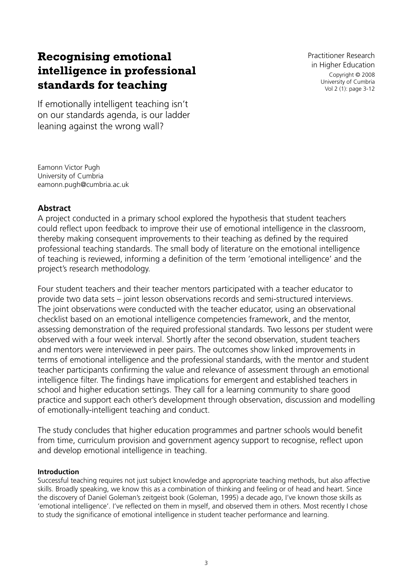# **Recognising emotional intelligence in professional standards for teaching**

Practitioner Research in Higher Education Copyright © 2008 University of Cumbria Vol 2 (1): page 3-12

If emotionally intelligent teaching isn't on our standards agenda, is our ladder leaning against the wrong wall?

Eamonn Victor Pugh University of Cumbria eamonn.pugh@cumbria.ac.uk

# **Abstract**

A project conducted in a primary school explored the hypothesis that student teachers could reflect upon feedback to improve their use of emotional intelligence in the classroom, thereby making consequent improvements to their teaching as defined by the required professional teaching standards. The small body of literature on the emotional intelligence of teaching is reviewed, informing a definition of the term 'emotional intelligence' and the project's research methodology.

Four student teachers and their teacher mentors participated with a teacher educator to provide two data sets – joint lesson observations records and semi-structured interviews. The joint observations were conducted with the teacher educator, using an observational checklist based on an emotional intelligence competencies framework, and the mentor, assessing demonstration of the required professional standards. Two lessons per student were observed with a four week interval. Shortly after the second observation, student teachers and mentors were interviewed in peer pairs. The outcomes show linked improvements in terms of emotional intelligence and the professional standards, with the mentor and student teacher participants confirming the value and relevance of assessment through an emotional intelligence filter. The findings have implications for emergent and established teachers in school and higher education settings. They call for a learning community to share good practice and support each other's development through observation, discussion and modelling of emotionally-intelligent teaching and conduct.

The study concludes that higher education programmes and partner schools would benefit from time, curriculum provision and government agency support to recognise, reflect upon and develop emotional intelligence in teaching.

# **Introduction**

Successful teaching requires not just subject knowledge and appropriate teaching methods, but also affective skills. Broadly speaking, we know this as a combination of thinking and feeling or of head and heart. Since the discovery of Daniel Goleman's zeitgeist book (Goleman, 1995) a decade ago, I've known those skills as 'emotional intelligence'. I've reflected on them in myself, and observed them in others. Most recently I chose to study the significance of emotional intelligence in student teacher performance and learning.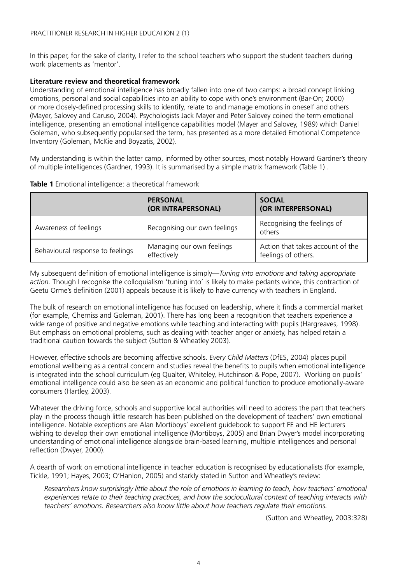In this paper, for the sake of clarity, I refer to the school teachers who support the student teachers during work placements as 'mentor'.

#### **Literature review and theoretical framework**

Understanding of emotional intelligence has broadly fallen into one of two camps: a broad concept linking emotions, personal and social capabilities into an ability to cope with one's environment (Bar-On; 2000) or more closely-defined processing skills to identify, relate to and manage emotions in oneself and others (Mayer, Salovey and Caruso, 2004). Psychologists Jack Mayer and Peter Salovey coined the term emotional intelligence, presenting an emotional intelligence capabilities model (Mayer and Salovey, 1989) which Daniel Goleman, who subsequently popularised the term, has presented as a more detailed Emotional Competence Inventory (Goleman, McKie and Boyzatis, 2002).

My understanding is within the latter camp, informed by other sources, most notably Howard Gardner's theory of multiple intelligences (Gardner, 1993). It is summarised by a simple matrix framework (Table 1) .

|                                  | <b>PERSONAL</b><br>(OR INTRAPERSONAL)    | <b>SOCIAL</b><br>(OR INTERPERSONAL)                     |
|----------------------------------|------------------------------------------|---------------------------------------------------------|
| Awareness of feelings            | Recognising our own feelings             | Recognising the feelings of<br>others                   |
| Behavioural response to feelings | Managing our own feelings<br>effectively | Action that takes account of the<br>feelings of others. |

**Table 1** Emotional intelligence: a theoretical framework

My subsequent definition of emotional intelligence is simply—*Tuning into emotions and taking appropriate action.* Though I recognise the colloquialism 'tuning into' is likely to make pedants wince, this contraction of Geetu Orme's definition (2001) appeals because it is likely to have currency with teachers in England.

The bulk of research on emotional intelligence has focused on leadership, where it finds a commercial market (for example, Cherniss and Goleman, 2001). There has long been a recognition that teachers experience a wide range of positive and negative emotions while teaching and interacting with pupils (Hargreaves, 1998). But emphasis on emotional problems, such as dealing with teacher anger or anxiety, has helped retain a traditional caution towards the subject (Sutton & Wheatley 2003).

However, effective schools are becoming affective schools. *Every Child Matters* (DfES, 2004) places pupil emotional wellbeing as a central concern and studies reveal the benefits to pupils when emotional intelligence is integrated into the school curriculum (eg Qualter, Whiteley, Hutchinson & Pope, 2007). Working on pupils' emotional intelligence could also be seen as an economic and political function to produce emotionally-aware consumers (Hartley, 2003).

Whatever the driving force, schools and supportive local authorities will need to address the part that teachers play in the process though little research has been published on the development of teachers' own emotional intelligence. Notable exceptions are Alan Mortiboys' excellent guidebook to support FE and HE lecturers wishing to develop their own emotional intelligence (Mortiboys, 2005) and Brian Dwyer's model incorporating understanding of emotional intelligence alongside brain-based learning, multiple intelligences and personal reflection (Dwyer, 2000).

A dearth of work on emotional intelligence in teacher education is recognised by educationalists (for example, Tickle, 1991; Hayes, 2003; O'Hanlon, 2005) and starkly stated in Sutton and Wheatley's review:

*Researchers know surprisingly little about the role of emotions in learning to teach, how teachers' emotional experiences relate to their teaching practices, and how the sociocultural context of teaching interacts with teachers' emotions. Researchers also know little about how teachers regulate their emotions.*

(Sutton and Wheatley, 2003:328)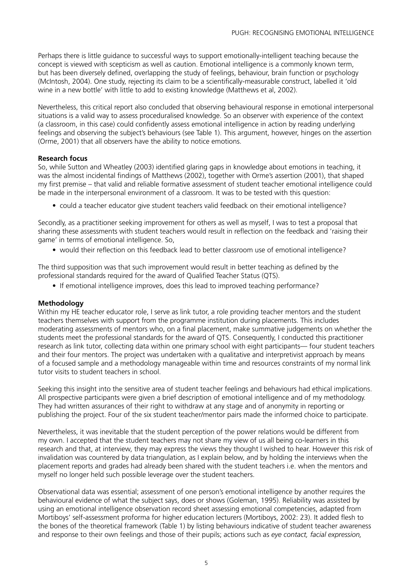Perhaps there is little guidance to successful ways to support emotionally-intelligent teaching because the concept is viewed with scepticism as well as caution. Emotional intelligence is a commonly known term, but has been diversely defined, overlapping the study of feelings, behaviour, brain function or psychology (McIntosh, 2004). One study, rejecting its claim to be a scientifically-measurable construct, labelled it 'old wine in a new bottle' with little to add to existing knowledge (Matthews et al, 2002).

Nevertheless, this critical report also concluded that observing behavioural response in emotional interpersonal situations is a valid way to assess proceduralised knowledge. So an observer with experience of the context (a classroom, in this case) could confidently assess emotional intelligence in action by reading underlying feelings and observing the subject's behaviours (see Table 1). This argument, however, hinges on the assertion (Orme, 2001) that all observers have the ability to notice emotions.

#### **Research focus**

So, while Sutton and Wheatley (2003) identified glaring gaps in knowledge about emotions in teaching, it was the almost incidental findings of Matthews (2002), together with Orme's assertion (2001), that shaped my first premise – that valid and reliable formative assessment of student teacher emotional intelligence could be made in the interpersonal environment of a classroom. It was to be tested with this question:

• could a teacher educator give student teachers valid feedback on their emotional intelligence?

Secondly, as a practitioner seeking improvement for others as well as myself, I was to test a proposal that sharing these assessments with student teachers would result in reflection on the feedback and 'raising their game' in terms of emotional intelligence. So,

• would their reflection on this feedback lead to better classroom use of emotional intelligence?

The third supposition was that such improvement would result in better teaching as defined by the professional standards required for the award of Qualified Teacher Status (QTS).

• If emotional intelligence improves, does this lead to improved teaching performance?

#### **Methodology**

Within my HE teacher educator role, I serve as link tutor, a role providing teacher mentors and the student teachers themselves with support from the programme institution during placements. This includes moderating assessments of mentors who, on a final placement, make summative judgements on whether the students meet the professional standards for the award of QTS. Consequently, I conducted this practitioner research as link tutor, collecting data within one primary school with eight participants— four student teachers and their four mentors. The project was undertaken with a qualitative and interpretivist approach by means of a focused sample and a methodology manageable within time and resources constraints of my normal link tutor visits to student teachers in school.

Seeking this insight into the sensitive area of student teacher feelings and behaviours had ethical implications. All prospective participants were given a brief description of emotional intelligence and of my methodology. They had written assurances of their right to withdraw at any stage and of anonymity in reporting or publishing the project. Four of the six student teacher/mentor pairs made the informed choice to participate.

Nevertheless, it was inevitable that the student perception of the power relations would be different from my own. I accepted that the student teachers may not share my view of us all being co-learners in this research and that, at interview, they may express the views they thought I wished to hear. However this risk of invalidation was countered by data triangulation, as I explain below, and by holding the interviews when the placement reports and grades had already been shared with the student teachers i.e. when the mentors and myself no longer held such possible leverage over the student teachers.

Observational data was essential; assessment of one person's emotional intelligence by another requires the behavioural evidence of what the subject says, does or shows (Goleman, 1995). Reliability was assisted by using an emotional intelligence observation record sheet assessing emotional competencies, adapted from Mortiboys' self-assessment proforma for higher education lecturers (Mortiboys, 2002: 23). It added flesh to the bones of the theoretical framework (Table 1) by listing behaviours indicative of student teacher awareness and response to their own feelings and those of their pupils; actions such as *eye contact, facial expression,*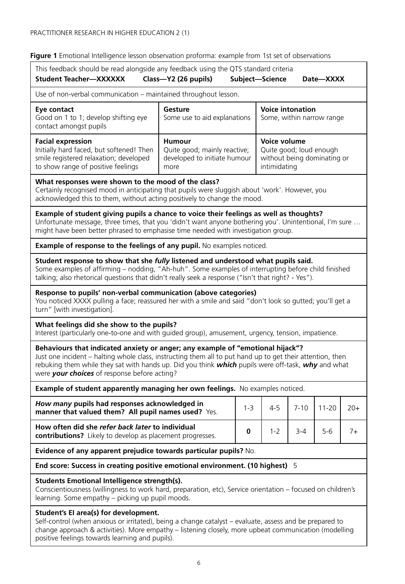**Figure 1** Emotional Intelligence lesson observation proforma: example from 1st set of observations

| This feedback should be read alongside any feedback using the QTS standard criteria<br><b>Student Teacher-XXXXXX</b><br>Class-Y2 (26 pupils)<br>Subject-Science<br>Date—XXXX                                                                                                                                                                      |                                                                                       |                                                      |                                                                                        |          |           |       |  |  |
|---------------------------------------------------------------------------------------------------------------------------------------------------------------------------------------------------------------------------------------------------------------------------------------------------------------------------------------------------|---------------------------------------------------------------------------------------|------------------------------------------------------|----------------------------------------------------------------------------------------|----------|-----------|-------|--|--|
| Use of non-verbal communication – maintained throughout lesson.                                                                                                                                                                                                                                                                                   |                                                                                       |                                                      |                                                                                        |          |           |       |  |  |
| Eye contact<br>Good on 1 to 1; develop shifting eye<br>contact amongst pupils                                                                                                                                                                                                                                                                     | Gesture<br>Some use to aid explanations                                               | <b>Voice intonation</b><br>Some, within narrow range |                                                                                        |          |           |       |  |  |
| <b>Facial expression</b><br>Initially hard faced, but softened! Then<br>smile registered relaxation; developed<br>to show range of positive feelings                                                                                                                                                                                              | <b>Humour</b><br>Quite good; mainly reactive;<br>developed to initiate humour<br>more |                                                      | Voice volume<br>Quite good; loud enough<br>without being dominating or<br>intimidating |          |           |       |  |  |
| What responses were shown to the mood of the class?<br>Certainly recognised mood in anticipating that pupils were sluggish about 'work'. However, you<br>acknowledged this to them, without acting positively to change the mood.                                                                                                                 |                                                                                       |                                                      |                                                                                        |          |           |       |  |  |
| Example of student giving pupils a chance to voice their feelings as well as thoughts?<br>Unfortunate message, three times, that you 'didn't want anyone bothering you'. Unintentional, I'm sure<br>might have been better phrased to emphasise time needed with investigation group.                                                             |                                                                                       |                                                      |                                                                                        |          |           |       |  |  |
| Example of response to the feelings of any pupil. No examples noticed.                                                                                                                                                                                                                                                                            |                                                                                       |                                                      |                                                                                        |          |           |       |  |  |
| Student response to show that she fully listened and understood what pupils said.<br>Some examples of affirming - nodding, "Ah-huh". Some examples of interrupting before child finished<br>talking; also rhetorical questions that didn't really seek a response ("Isn't that right? - Yes").                                                    |                                                                                       |                                                      |                                                                                        |          |           |       |  |  |
| Response to pupils' non-verbal communication (above categories)<br>You noticed XXXX pulling a face; reassured her with a smile and said "don't look so gutted; you'll get a<br>turn" [with investigation].                                                                                                                                        |                                                                                       |                                                      |                                                                                        |          |           |       |  |  |
| What feelings did she show to the pupils?<br>Interest (particularly one-to-one and with guided group), amusement, urgency, tension, impatience.                                                                                                                                                                                                   |                                                                                       |                                                      |                                                                                        |          |           |       |  |  |
| Behaviours that indicated anxiety or anger; any example of "emotional hijack"?<br>Just one incident - halting whole class, instructing them all to put hand up to get their attention, then<br>rebuking them while they sat with hands up. Did you think which pupils were off-task, why and what<br>were your choices of response before acting? |                                                                                       |                                                      |                                                                                        |          |           |       |  |  |
| Example of student apparently managing her own feelings. No examples noticed.                                                                                                                                                                                                                                                                     |                                                                                       |                                                      |                                                                                        |          |           |       |  |  |
| How many pupils had responses acknowledged in<br>manner that valued them? All pupil names used? Yes.                                                                                                                                                                                                                                              |                                                                                       | $1 - 3$                                              | 4-5                                                                                    | $7 - 10$ | $11 - 20$ | $20+$ |  |  |
| How often did she refer back later to individual<br><b>contributions?</b> Likely to develop as placement progresses                                                                                                                                                                                                                               |                                                                                       | 0                                                    | $1 - 2$                                                                                | 3-4      | $5 - 6$   | $7+$  |  |  |
| Evidence of any apparent prejudice towards particular pupils? No.                                                                                                                                                                                                                                                                                 |                                                                                       |                                                      |                                                                                        |          |           |       |  |  |
| End score: Success in creating positive emotional environment. (10 highest) 5                                                                                                                                                                                                                                                                     |                                                                                       |                                                      |                                                                                        |          |           |       |  |  |
| Students Emotional Intelligence strength(s).<br>Conscientiousness (willingness to work hard, preparation, etc), Service orientation - focused on children's<br>learning. Some empathy - picking up pupil moods.                                                                                                                                   |                                                                                       |                                                      |                                                                                        |          |           |       |  |  |
| Student's El area(s) for development.<br>Self-control (when anxious or irritated), being a change catalyst - evaluate, assess and be prepared to<br>change approach & activities). More empathy - listening closely, more upbeat communication (modelling<br>positive feelings towards learning and pupils).                                      |                                                                                       |                                                      |                                                                                        |          |           |       |  |  |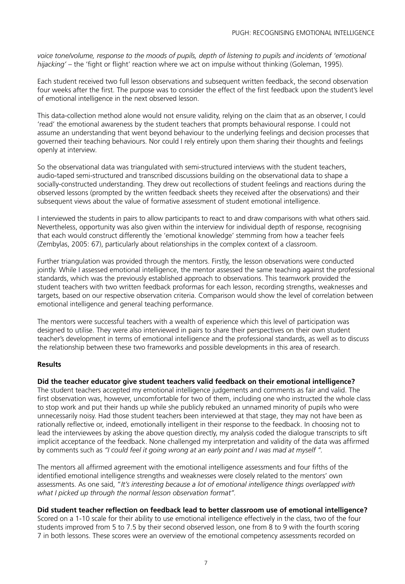voice tone/volume, response to the moods of pupils, depth of listening to pupils and incidents of 'emotional hijacking' – the 'fight or flight' reaction where we act on impulse without thinking (Goleman, 1995).

Each student received two full lesson observations and subsequent written feedback, the second observation four weeks after the first. The purpose was to consider the effect of the first feedback upon the student's level of emotional intelligence in the next observed lesson.

This data-collection method alone would not ensure validity, relying on the claim that as an observer, I could 'read' the emotional awareness by the student teachers that prompts behavioural response. I could not assume an understanding that went beyond behaviour to the underlying feelings and decision processes that governed their teaching behaviours. Nor could I rely entirely upon them sharing their thoughts and feelings openly at interview.

So the observational data was triangulated with semi-structured interviews with the student teachers, audio-taped semi-structured and transcribed discussions building on the observational data to shape a socially-constructed understanding. They drew out recollections of student feelings and reactions during the observed lessons (prompted by the written feedback sheets they received after the observations) and their subsequent views about the value of formative assessment of student emotional intelligence.

I interviewed the students in pairs to allow participants to react to and draw comparisons with what others said. Nevertheless, opportunity was also given within the interview for individual depth of response, recognising that each would construct differently the 'emotional knowledge' stemming from how a teacher feels (Zembylas, 2005: 67), particularly about relationships in the complex context of a classroom.

Further triangulation was provided through the mentors. Firstly, the lesson observations were conducted jointly. While I assessed emotional intelligence, the mentor assessed the same teaching against the professional standards, which was the previously established approach to observations. This teamwork provided the student teachers with two written feedback proformas for each lesson, recording strengths, weaknesses and targets, based on our respective observation criteria. Comparison would show the level of correlation between emotional intelligence and general teaching performance.

The mentors were successful teachers with a wealth of experience which this level of participation was designed to utilise. They were also interviewed in pairs to share their perspectives on their own student teacher's development in terms of emotional intelligence and the professional standards, as well as to discuss the relationship between these two frameworks and possible developments in this area of research.

#### **Results**

#### **Did the teacher educator give student teachers valid feedback on their emotional intelligence?**

The student teachers accepted my emotional intelligence judgements and comments as fair and valid. The first observation was, however, uncomfortable for two of them, including one who instructed the whole class to stop work and put their hands up while she publicly rebuked an unnamed minority of pupils who were unnecessarily noisy. Had those student teachers been interviewed at that stage, they may not have been as rationally reflective or, indeed, emotionally intelligent in their response to the feedback. In choosing not to lead the interviewees by asking the above question directly, my analysis coded the dialogue transcripts to sift implicit acceptance of the feedback. None challenged my interpretation and validity of the data was affirmed by comments such as *"I could feel it going wrong at an early point and I was mad at myself ".* 

The mentors all affirmed agreement with the emotional intelligence assessments and four fifths of the identified emotional intelligence strengths and weaknesses were closely related to the mentors' own assessments. As one said, "*It's interesting because a lot of emotional intelligence things overlapped with what I picked up through the normal lesson observation format".*

#### Did student teacher reflection on feedback lead to better classroom use of emotional intelligence?

Scored on a 1-10 scale for their ability to use emotional intelligence effectively in the class, two of the four students improved from 5 to 7.5 by their second observed lesson, one from 8 to 9 with the fourth scoring 7 in both lessons. These scores were an overview of the emotional competency assessments recorded on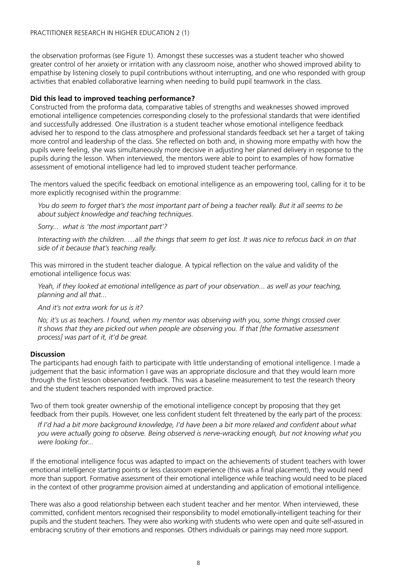the observation proformas (see Figure 1). Amongst these successes was a student teacher who showed greater control of her anxiety or irritation with any classroom noise, another who showed improved ability to empathise by listening closely to pupil contributions without interrupting, and one who responded with group activities that enabled collaborative learning when needing to build pupil teamwork in the class.

#### **Did this lead to improved teaching performance?**

Constructed from the proforma data, comparative tables of strengths and weaknesses showed improved emotional intelligence competencies corresponding closely to the professional standards that were identified and successfully addressed. One illustration is a student teacher whose emotional intelligence feedback advised her to respond to the class atmosphere and professional standards feedback set her a target of taking more control and leadership of the class. She reflected on both and, in showing more empathy with how the pupils were feeling, she was simultaneously more decisive in adjusting her planned delivery in response to the pupils during the lesson. When interviewed, the mentors were able to point to examples of how formative assessment of emotional intelligence had led to improved student teacher performance.

The mentors valued the specific feedback on emotional intelligence as an empowering tool, calling for it to be more explicitly recognised within the programme:

 *You do seem to forget that's the most important part of being a teacher really. But it all seems to be about subject knowledge and teaching techniques.*

 *Sorry... what is 'the most important part'?*

 *Interacting with the children. …all the things that seem to get lost. It was nice to refocus back in on that side of it because that's teaching really.*

This was mirrored in the student teacher dialogue. A typical reflection on the value and validity of the emotional intelligence focus was:

 *Yeah, if they looked at emotional intelligence as part of your observation... as well as your teaching, planning and all that...*

 *And it's not extra work for us is it?* 

 *No; it's us as teachers. I found, when my mentor was observing with you, some things crossed over. It shows that they are picked out when people are observing you. If that [the formative assessment process] was part of it, it'd be great.*

#### **Discussion**

The participants had enough faith to participate with little understanding of emotional intelligence. I made a judgement that the basic information I gave was an appropriate disclosure and that they would learn more through the first lesson observation feedback. This was a baseline measurement to test the research theory and the student teachers responded with improved practice.

Two of them took greater ownership of the emotional intelligence concept by proposing that they get feedback from their pupils. However, one less confident student felt threatened by the early part of the process:

If I'd had a bit more background knowledge, I'd have been a bit more relaxed and confident about what *you were actually going to observe. Being observed is nerve-wracking enough, but not knowing what you were looking for...*

If the emotional intelligence focus was adapted to impact on the achievements of student teachers with lower emotional intelligence starting points or less classroom experience (this was a final placement), they would need more than support. Formative assessment of their emotional intelligence while teaching would need to be placed in the context of other programme provision aimed at understanding and application of emotional intelligence.

There was also a good relationship between each student teacher and her mentor. When interviewed, these committed, confident mentors recognised their responsibility to model emotionally-intelligent teaching for their pupils and the student teachers. They were also working with students who were open and quite self-assured in embracing scrutiny of their emotions and responses. Others individuals or pairings may need more support.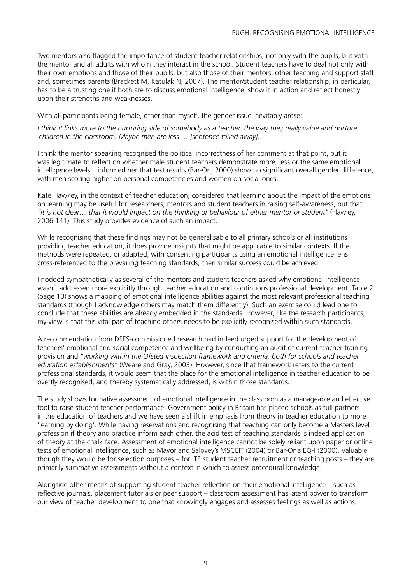Two mentors also flagged the importance of student teacher relationships, not only with the pupils, but with the mentor and all adults with whom they interact in the school. Student teachers have to deal not only with their own emotions and those of their pupils, but also those of their mentors, other teaching and support staff and, sometimes parents (Brackett M, Katulak N, 2007). The mentor/student teacher relationship, in particular, has to be a trusting one if both are to discuss emotional intelligence, show it in action and reflect honestly upon their strengths and weaknesses.

With all participants being female, other than myself, the gender issue inevitably arose:

*I think it links more to the nurturing side of somebody as a teacher, the way they really value and nurture children in the classroom. Maybe men are less … [sentence tailed away].*

I think the mentor speaking recognised the political incorrectness of her comment at that point, but it was legitimate to reflect on whether male student teachers demonstrate more, less or the same emotional intelligence levels. I informed her that test results (Bar-On, 2000) show no significant overall gender difference, with men scoring higher on personal competencies and women on social ones.

Kate Hawkey, in the context of teacher education, considered that learning about the impact of the emotions on learning may be useful for researchers, mentors and student teachers in raising self-awareness, but that *"it is not clear… that it would impact on the thinking or behaviour of either mentor or student"* (Hawley, 2006:141). This study provides evidence of such an impact.

While recognising that these findings may not be generalisable to all primary schools or all institutions providing teacher education, it does provide insights that might be applicable to similar contexts. If the methods were repeated, or adapted, with consenting participants using an emotional intelligence lens cross-referenced to the prevailing teaching standards, then similar success could be achieved

I nodded sympathetically as several of the mentors and student teachers asked why emotional intelligence wasn't addressed more explicitly through teacher education and continuous professional development. Table 2 (page 10) shows a mapping of emotional intelligence abilities against the most relevant professional teaching standards (though I acknowledge others may match them differently). Such an exercise could lead one to conclude that these abilities are already embedded in the standards. However, like the research participants, my view is that this vital part of teaching others needs to be explicitly recognised within such standards.

A recommendation from DFES-commissioned research had indeed urged support for the development of teachers' emotional and social competence and wellbeing by conducting an audit of current teacher training provision and *"working within the Ofsted inspection framework and criteria, both for schools and teacher education establishments"* (Weare and Gray, 2003). However, since that framework refers to the current professional standards, it would seem that the place for the emotional intelligence in teacher education to be overtly recognised, and thereby systematically addressed, is within those standards.

The study shows formative assessment of emotional intelligence in the classroom as a manageable and effective tool to raise student teacher performance. Government policy in Britain has placed schools as full partners in the education of teachers and we have seen a shift in emphasis from theory in teacher education to more 'learning by doing'. While having reservations and recognising that teaching can only become a Masters level profession if theory and practice inform each other, the acid test of teaching standards is indeed application of theory at the chalk face. Assessment of emotional intelligence cannot be solely reliant upon paper or online tests of emotional intelligence, such as Mayor and Salovey's MSCEIT (2004) or Bar-On's EQ-I (2000). Valuable though they would be for selection purposes – for ITE student teacher recruitment or teaching posts – they are primarily summative assessments without a context in which to assess procedural knowledge.

Alongside other means of supporting student teacher reflection on their emotional intelligence – such as reflective journals, placement tutorials or peer support – classroom assessment has latent power to transform our view of teacher development to one that knowingly engages and assesses feelings as well as actions.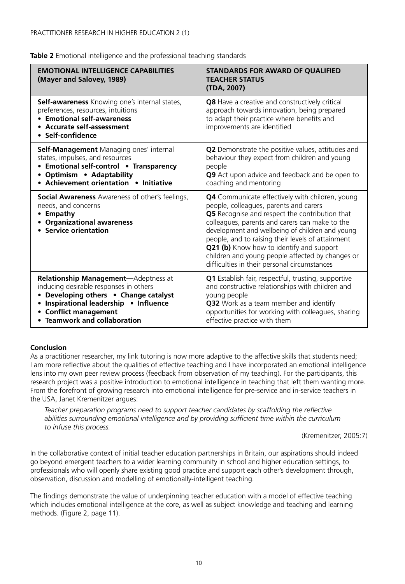| <b>EMOTIONAL INTELLIGENCE CAPABILITIES</b><br>(Mayer and Salovey, 1989)                                                                                                                                                            | <b>STANDARDS FOR AWARD OF QUALIFIED</b><br><b>TEACHER STATUS</b><br>(TDA, 2007)                                                                                                                                                                                                                                                                                                                                                                              |  |  |
|------------------------------------------------------------------------------------------------------------------------------------------------------------------------------------------------------------------------------------|--------------------------------------------------------------------------------------------------------------------------------------------------------------------------------------------------------------------------------------------------------------------------------------------------------------------------------------------------------------------------------------------------------------------------------------------------------------|--|--|
| <b>Self-awareness</b> Knowing one's internal states,<br>preferences, resources, intuitions<br>• Emotional self-awareness<br>• Accurate self-assessment<br>• Self-confidence                                                        | Q8 Have a creative and constructively critical<br>approach towards innovation, being prepared<br>to adapt their practice where benefits and<br>improvements are identified                                                                                                                                                                                                                                                                                   |  |  |
| <b>Self-Management</b> Managing ones' internal<br>states, impulses, and resources<br>• Emotional self-control • Transparency<br>• Optimism • Adaptability<br>• Achievement orientation • Initiative                                | Q2 Demonstrate the positive values, attitudes and<br>behaviour they expect from children and young<br>people<br>Q9 Act upon advice and feedback and be open to<br>coaching and mentoring                                                                                                                                                                                                                                                                     |  |  |
| <b>Social Awareness</b> Awareness of other's feelings,<br>needs, and concerns<br>• Empathy<br><b>Organizational awareness</b><br>• Service orientation                                                                             | <b>Q4</b> Communicate effectively with children, young<br>people, colleagues, parents and carers<br>Q5 Recognise and respect the contribution that<br>colleagues, parents and carers can make to the<br>development and wellbeing of children and young<br>people, and to raising their levels of attainment<br>Q21 (b) Know how to identify and support<br>children and young people affected by changes or<br>difficulties in their personal circumstances |  |  |
| <b>Relationship Management-Adeptness at</b><br>inducing desirable responses in others<br>Developing others • Change catalyst<br>Inspirational leadership . Influence<br><b>Conflict management</b><br>• Teamwork and collaboration | Q1 Establish fair, respectful, trusting, supportive<br>and constructive relationships with children and<br>young people<br>Q32 Work as a team member and identify<br>opportunities for working with colleagues, sharing<br>effective practice with them                                                                                                                                                                                                      |  |  |

#### **Conclusion**

As a practitioner researcher, my link tutoring is now more adaptive to the affective skills that students need; I am more reflective about the qualities of effective teaching and I have incorporated an emotional intelligence lens into my own peer review process (feedback from observation of my teaching). For the participants, this research project was a positive introduction to emotional intelligence in teaching that left them wanting more. From the forefront of growing research into emotional intelligence for pre-service and in-service teachers in the USA, Janet Kremenitzer argues:

Teacher preparation programs need to support teacher candidates by scaffolding the reflective abilities surrounding emotional intelligence and by providing sufficient time within the curriculum *to infuse this process.*

(Kremenitzer, 2005:7)

In the collaborative context of initial teacher education partnerships in Britain, our aspirations should indeed go beyond emergent teachers to a wider learning community in school and higher education settings, to professionals who will openly share existing good practice and support each other's development through, observation, discussion and modelling of emotionally-intelligent teaching.

The findings demonstrate the value of underpinning teacher education with a model of effective teaching which includes emotional intelligence at the core, as well as subject knowledge and teaching and learning methods. (Figure 2, page 11).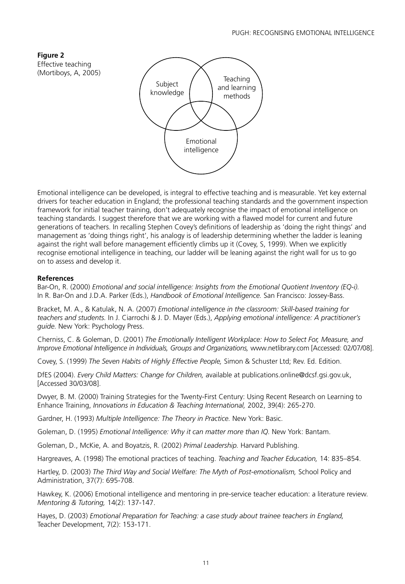**Figure 2**  Effective teaching (Mortiboys, A, 2005)



Emotional intelligence can be developed, is integral to effective teaching and is measurable. Yet key external drivers for teacher education in England; the professional teaching standards and the government inspection framework for initial teacher training, don't adequately recognise the impact of emotional intelligence on teaching standards. I suggest therefore that we are working with a flawed model for current and future generations of teachers. In recalling Stephen Covey's definitions of leadership as 'doing the right things' and management as 'doing things right', his analogy is of leadership determining whether the ladder is leaning against the right wall before management efficiently climbs up it (Covey, S, 1999). When we explicitly recognise emotional intelligence in teaching, our ladder will be leaning against the right wall for us to go on to assess and develop it.

#### **References**

Bar-On, R. (2000) *Emotional and social intelligence: Insights from the Emotional Quotient Inventory (EQ-i).* In R. Bar-On and J.D.A. Parker (Eds.), *Handbook of Emotional Intelligence.* San Francisco: Jossey-Bass.

Bracket, M. A., & Katulak, N. A. (2007) *Emotional intelligence in the classroom: Skill-based training for teachers and students.* In J. Ciarrochi & J. D. Mayer (Eds.), *Applying emotional intelligence: A practitioner's guide.* New York: Psychology Press.

Cherniss, C. & Goleman, D. (2001) *The Emotionally Intelligent Workplace: How to Select For, Measure, and Improve Emotional Intelligence in Individuals, Groups and Organizations,* www.netlibrary.com [Accessed: 02/07/08].

Covey, S. (1999) *The Seven Habits of Highly Effective People,* Simon & Schuster Ltd; Rev. Ed. Edition.

DfES (2004). *Every Child Matters: Change for Children,* available at publications.online@dcsf.gsi.gov.uk, [Accessed 30/03/08].

Dwyer, B. M. (2000) Training Strategies for the Twenty-First Century: Using Recent Research on Learning to Enhance Training, *Innovations in Education & Teaching International,* 2002, 39(4): 265-270.

Gardner, H. (1993) *Multiple Intelligence: The Theory in Practice.* New York: Basic.

Goleman, D. (1995) *Emotional Intelligence: Why it can matter more than IQ.* New York: Bantam.

Goleman, D., McKie, A. and Boyatzis, R. (2002) *Primal Leadership.* Harvard Publishing.

Hargreaves, A. (1998) The emotional practices of teaching. *Teaching and Teacher Education,* 14: 835–854.

Hartley, D. (2003) *The Third Way and Social Welfare: The Myth of Post-emotionalism,* School Policy and Administration, 37(7): 695-708.

Hawkey, K. (2006) Emotional intelligence and mentoring in pre-service teacher education: a literature review. *Mentoring & Tutoring,* 14(2): 137-147.

Hayes, D. (2003) *Emotional Preparation for Teaching: a case study about trainee teachers in England,* Teacher Development, 7(2): 153-171.